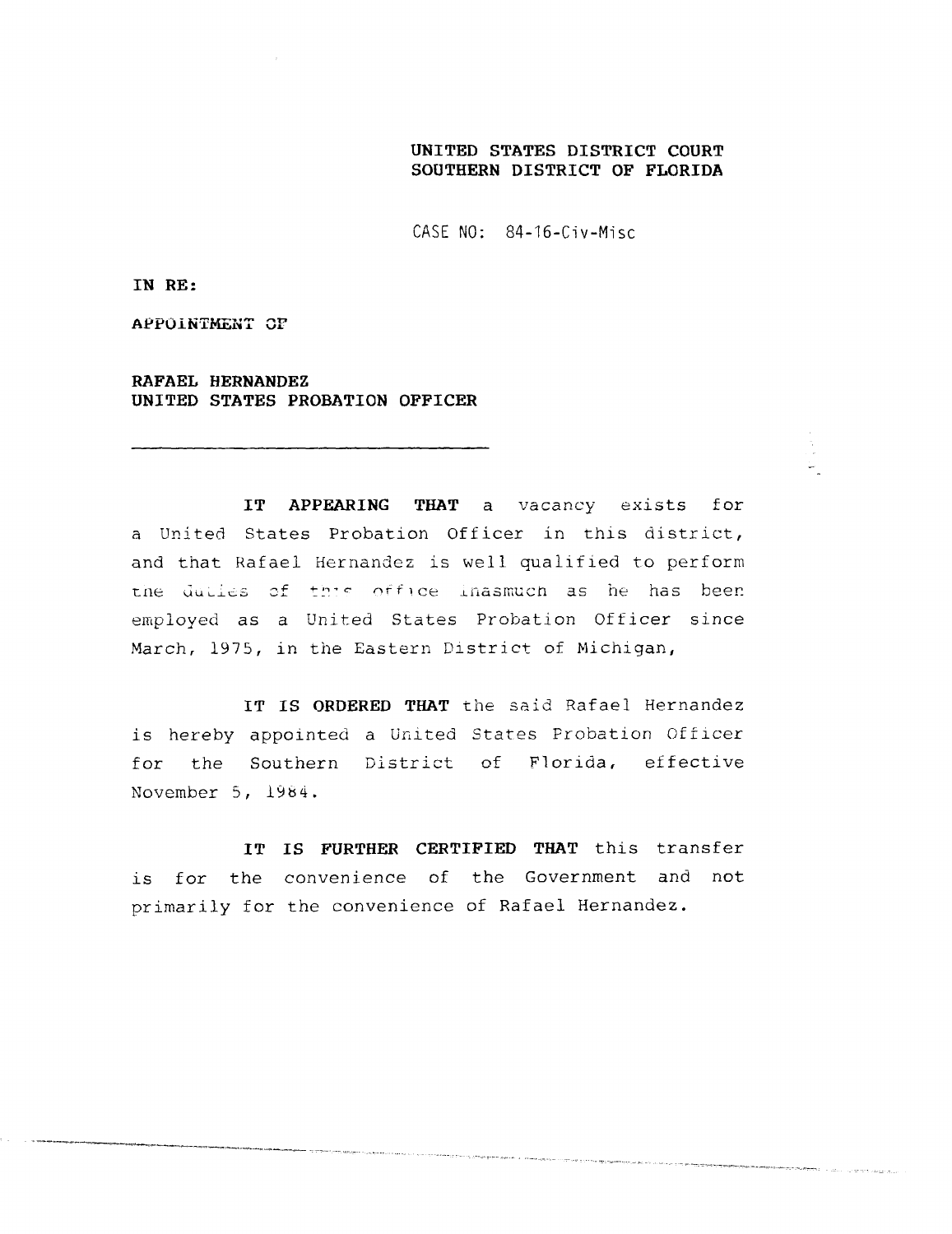## **UNITED STATES DISTRICT COURT SOUTHERN DISTRICT OF FLORIDA**

 $CASE \ N0: 84-16-Civ-Misc$ 

**IN RE :**

**APPOIN**T**MENT CF**

**RAFAEL HERNANDE Z** UNITED STATES PROBATION OFFICER

**IT APPEARING THAT** a vacancy exists for a United States Probation officer in this district, and that Rafael Hernandez is well qualified to perform the dulles of this office lnasmuch as he has been employed as a United States Probation Officer since March, 1975, in the Eastern District of Michigan,

**IT IS ORDERED THAT** the said Rafael Hernandez is hereby appointed a United States Probation Officer for the Southern District of Florida, effective November 5, 1984 .

**IT IS FURTHER CERTIFIED THAT** this transfer is for the convenience of the Government and not primarily for the convenience of Rafael Hernandez .